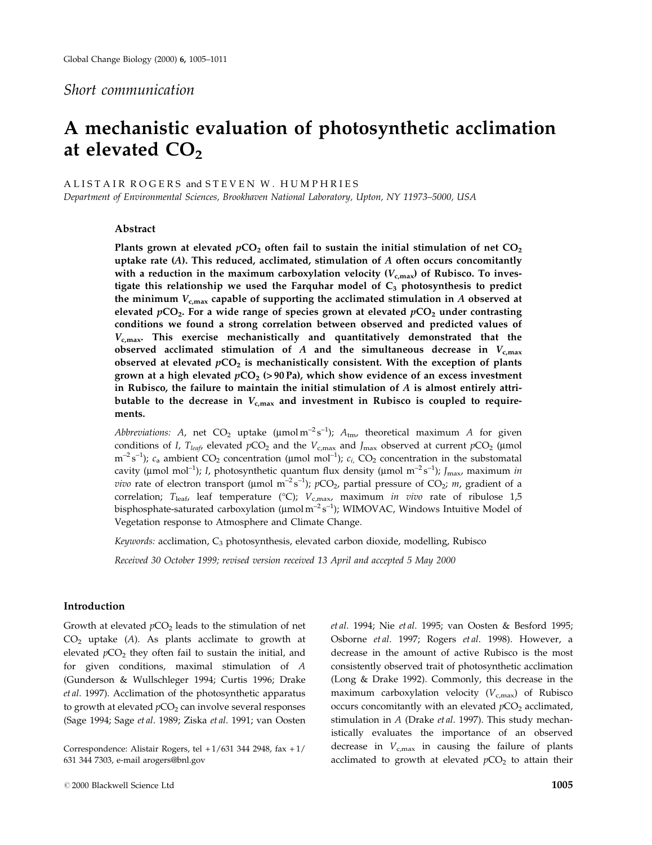# Short communication

# A mechanistic evaluation of photosynthetic acclimation at elevated  $CO<sub>2</sub>$

A L ISTAIR ROGERS and STEVEN W. HUMPHRIES

Department of Environmental Sciences, Brookhaven National Laboratory, Upton, NY 11973-5000, USA

# Abstract

Plants grown at elevated  $pCO<sub>2</sub>$  often fail to sustain the initial stimulation of net  $CO<sub>2</sub>$ uptake rate  $(A)$ . This reduced, acclimated, stimulation of  $A$  often occurs concomitantly with a reduction in the maximum carboxylation velocity  $(V_{c,max})$  of Rubisco. To investigate this relationship we used the Farquhar model of  $C_3$  photosynthesis to predict the minimum  $V_{\text{c,max}}$  capable of supporting the acclimated stimulation in A observed at elevated  $pCO<sub>2</sub>$ . For a wide range of species grown at elevated  $pCO<sub>2</sub>$  under contrasting conditions we found a strong correlation between observed and predicted values of  $V_{c,max}$ . This exercise mechanistically and quantitatively demonstrated that the observed acclimated stimulation of A and the simultaneous decrease in  $V_{\text{c,max}}$ observed at elevated  $pCO<sub>2</sub>$  is mechanistically consistent. With the exception of plants grown at a high elevated  $pCO<sub>2</sub>$  (> 90 Pa), which show evidence of an excess investment in Rubisco, the failure to maintain the initial stimulation of  $A$  is almost entirely attributable to the decrease in  $V_{\text{c,max}}$  and investment in Rubisco is coupled to requirements.

*Abbreviations:* A, net  $CO_2$  uptake ( $\mu$ mol m<sup>-2</sup> s<sup>-1</sup>);  $A_{\text{tm}}$ , theoretical maximum A for given conditions of I, T<sub>leaf</sub>, elevated  $pCO_2$  and the  $V_{c,max}$  and J<sub>max</sub> observed at current  $pCO_2$  (µmol  $m^{-2}s^{-1}$ );  $c_a$  ambient  $CO_2$  concentration (µmol mol<sup>-1</sup>);  $c_i$ ,  $CO_2$  concentration in the substomatal cavity (µmol mol<sup>-1</sup>); I, photosynthetic quantum flux density (µmol m<sup>-2</sup> s<sup>-1</sup>); J<sub>max</sub>, maximum in *vivo* rate of electron transport (µmol m<sup>-2</sup> s<sup>-1</sup>);  $p$ CO<sub>2</sub>, partial pressure of CO<sub>2</sub>; *m*, gradient of a correlation; T<sub>leaf</sub>, leaf temperature (°C); V<sub>c,max</sub>, maximum in vivo rate of ribulose 1,5 bisphosphate-saturated carboxylation ( $\mu$ mol m $^{-2}$ s $^{-1}$ ); WIMOVAC, Windows Intuitive Model of Vegetation response to Atmosphere and Climate Change.

Keywords: acclimation,  $C_3$  photosynthesis, elevated carbon dioxide, modelling, Rubisco

Received 30 October 1999; revised version received 13 April and accepted 5 May 2000

# Introduction

Growth at elevated  $pCO<sub>2</sub>$  leads to the stimulation of net  $CO<sub>2</sub>$  uptake (A). As plants acclimate to growth at elevated  $pCO<sub>2</sub>$  they often fail to sustain the initial, and for given conditions, maximal stimulation of A (Gunderson & Wullschleger 1994; Curtis 1996; Drake et al. 1997). Acclimation of the photosynthetic apparatus to growth at elevated  $pCO<sub>2</sub>$  can involve several responses (Sage 1994; Sage et al. 1989; Ziska et al. 1991; van Oosten

Correspondence: Alistair Rogers, tel + 1/631 344 2948, fax + 1/ 631 344 7303, e-mail arogers@bnl.gov

et al. 1994; Nie et al. 1995; van Oosten & Besford 1995; Osborne et al. 1997; Rogers et al. 1998). However, a decrease in the amount of active Rubisco is the most consistently observed trait of photosynthetic acclimation (Long & Drake 1992). Commonly, this decrease in the maximum carboxylation velocity ( $V_{c,\text{max}}$ ) of Rubisco occurs concomitantly with an elevated  $pCO<sub>2</sub>$  acclimated, stimulation in A (Drake et al. 1997). This study mechanistically evaluates the importance of an observed decrease in  $V_{c,\text{max}}$  in causing the failure of plants acclimated to growth at elevated  $pCO<sub>2</sub>$  to attain their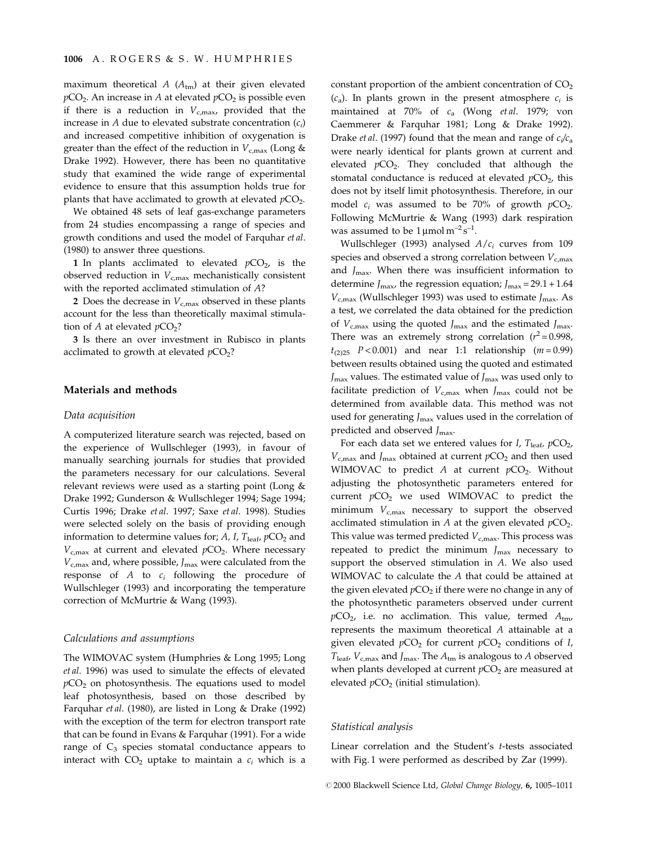maximum theoretical  $A(A<sub>tm</sub>)$  at their given elevated  $pCO<sub>2</sub>$ . An increase in A at elevated  $pCO<sub>2</sub>$  is possible even if there is a reduction in  $V_{c,\text{max}}$ , provided that the increase in A due to elevated substrate concentration  $(c_i)$ and increased competitive inhibition of oxygenation is greater than the effect of the reduction in  $V_{c,max}$  (Long & Drake 1992). However, there has been no quantitative study that examined the wide range of experimental evidence to ensure that this assumption holds true for plants that have acclimated to growth at elevated  $pCO<sub>2</sub>$ .

We obtained 48 sets of leaf gas-exchange parameters from 24 studies encompassing a range of species and growth conditions and used the model of Farquhar et al. (1980) to answer three questions.

1 In plants acclimated to elevated  $pCO<sub>2</sub>$ , is the observed reduction in  $V_{c,max}$  mechanistically consistent with the reported acclimated stimulation of A?

2 Does the decrease in  $V_{c,max}$  observed in these plants account for the less than theoretically maximal stimulation of A at elevated  $pCO<sub>2</sub>$ ?

3 Is there an over investment in Rubisco in plants acclimated to growth at elevated  $pCO<sub>2</sub>$ ?

#### Materials and methods

#### Data acquisition

A computerized literature search was rejected, based on the experience of Wullschleger (1993), in favour of manually searching journals for studies that provided the parameters necessary for our calculations. Several relevant reviews were used as a starting point (Long & Drake 1992; Gunderson & Wullschleger 1994; Sage 1994; Curtis 1996; Drake et al. 1997; Saxe et al. 1998). Studies were selected solely on the basis of providing enough information to determine values for; A, I,  $T_{\text{leaf}}$ ,  $pCO_2$  and  $V_{c,max}$  at current and elevated  $pCO<sub>2</sub>$ . Where necessary  $V_{\rm c,max}$  and, where possible,  $J_{\rm max}$  were calculated from the response of  $A$  to  $c_i$  following the procedure of Wullschleger (1993) and incorporating the temperature correction of McMurtrie & Wang (1993).

#### Calculations and assumptions

The WIMOVAC system (Humphries & Long 1995; Long et al. 1996) was used to simulate the effects of elevated  $pCO<sub>2</sub>$  on photosynthesis. The equations used to model leaf photosynthesis, based on those described by Farquhar et al. (1980), are listed in Long & Drake (1992) with the exception of the term for electron transport rate that can be found in Evans & Farquhar (1991). For a wide range of  $C_3$  species stomatal conductance appears to interact with  $CO<sub>2</sub>$  uptake to maintain a  $c<sub>i</sub>$  which is a constant proportion of the ambient concentration of  $CO<sub>2</sub>$  $(c_a)$ . In plants grown in the present atmosphere  $c_i$  is maintained at 70% of  $c_a$  (Wong et al. 1979; von Caemmerer & Farquhar 1981; Long & Drake 1992). Drake *et al.* (1997) found that the mean and range of  $c_i/c_a$ were nearly identical for plants grown at current and elevated  $pCO<sub>2</sub>$ . They concluded that although the stomatal conductance is reduced at elevated  $pCO<sub>2</sub>$ , this does not by itself limit photosynthesis. Therefore, in our model  $c_i$  was assumed to be 70% of growth  $pCO_2$ . Following McMurtrie & Wang (1993) dark respiration was assumed to be  $1 \mu$ mol m<sup>-2</sup> s<sup>-1</sup>.

Wullschleger (1993) analysed  $A/c<sub>i</sub>$  curves from 109 species and observed a strong correlation between  $V_{c,max}$ and  $J_{\text{max}}$ . When there was insufficient information to determine  $J_{\text{max}}$ , the regression equation;  $J_{\text{max}} = 29.1 + 1.64$  $V_{c,max}$  (Wullschleger 1993) was used to estimate  $J_{max}$ . As a test, we correlated the data obtained for the prediction of  $V_{\rm c,max}$  using the quoted  $J_{\rm max}$  and the estimated  $J_{\rm max}$ . There was an extremely strong correlation ( $r^2$  = 0.998,  $t_{(2)25}$   $P < 0.001$ ) and near 1:1 relationship  $(m = 0.99)$ between results obtained using the quoted and estimated  $J_{\text{max}}$  values. The estimated value of  $J_{\text{max}}$  was used only to facilitate prediction of  $V_{c,max}$  when  $J_{max}$  could not be determined from available data. This method was not used for generating  $J_{\text{max}}$  values used in the correlation of predicted and observed  $J_{\text{max}}$ .

For each data set we entered values for I,  $T_{\text{leaf}}$ ,  $pCO_2$ ,  $V_{c,max}$  and  $J_{max}$  obtained at current  $pCO<sub>2</sub>$  and then used WIMOVAC to predict A at current  $pCO<sub>2</sub>$ . Without adjusting the photosynthetic parameters entered for current  $pCO<sub>2</sub>$  we used WIMOVAC to predict the minimum  $V_{c,max}$  necessary to support the observed acclimated stimulation in  $A$  at the given elevated  $pCO<sub>2</sub>$ . This value was termed predicted  $V_{c,max}$ . This process was repeated to predict the minimum  $J_{\text{max}}$  necessary to support the observed stimulation in A. We also used WIMOVAC to calculate the A that could be attained at the given elevated  $pCO<sub>2</sub>$  if there were no change in any of the photosynthetic parameters observed under current  $pCO<sub>2</sub>$ , i.e. no acclimation. This value, termed  $A<sub>tm</sub>$ , represents the maximum theoretical A attainable at a given elevated  $pCO<sub>2</sub>$  for current  $pCO<sub>2</sub>$  conditions of I,  $T_{\text{leaf}}$ ,  $V_{\text{c,max}}$  and  $J_{\text{max}}$ . The  $A_{\text{tm}}$  is analogous to A observed when plants developed at current  $pCO<sub>2</sub>$  are measured at elevated  $pCO<sub>2</sub>$  (initial stimulation).

#### Statistical analysis

Linear correlation and the Student's t-tests associated with Fig. 1 were performed as described by Zar (1999).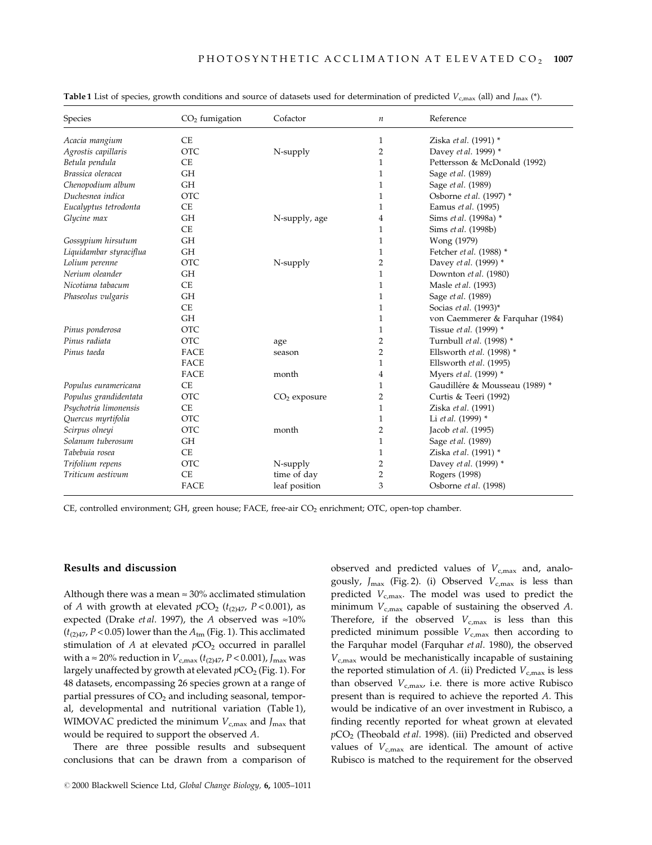| Species                 | $CO2$ fumigation | Cofactor       | $\boldsymbol{n}$ | Reference                       |
|-------------------------|------------------|----------------|------------------|---------------------------------|
| Acacia mangium          | <b>CE</b>        |                | $\mathbf{1}$     | Ziska et al. (1991) *           |
| Agrostis capillaris     | <b>OTC</b>       | N-supply       | 2                | Davey et al. 1999) *            |
| Betula pendula          | <b>CE</b>        |                | 1                | Pettersson & McDonald (1992)    |
| Brassica oleracea       | <b>GH</b>        |                | 1                | Sage et al. (1989)              |
| Chenopodium album       | <b>GH</b>        |                | 1                | Sage et al. (1989)              |
| Duchesnea indica        | <b>OTC</b>       |                | $\mathbf{1}$     | Osborne et al. (1997) *         |
| Eucalyptus tetrodonta   | <b>CE</b>        |                | 1                | Eamus et al. (1995)             |
| Glycine max             | <b>GH</b>        | N-supply, age  | 4                | Sims et al. (1998a) *           |
|                         | <b>CE</b>        |                | $\mathbf{1}$     | Sims et al. (1998b)             |
| Gossypium hirsutum      | <b>GH</b>        |                | 1                | Wong (1979)                     |
| Liquidambar styraciflua | <b>GH</b>        |                | 1                | Fetcher et al. (1988) *         |
| Lolium perenne          | <b>OTC</b>       | N-supply       | 2                | Davey et al. (1999) *           |
| Nerium oleander         | <b>GH</b>        |                | $\mathbf{1}$     | Downton et al. (1980)           |
| Nicotiana tabacum       | <b>CE</b>        |                | $\mathbf{1}$     | Masle et al. (1993)             |
| Phaseolus vulgaris      | <b>GH</b>        |                | 1                | Sage et al. (1989)              |
|                         | <b>CE</b>        |                | $\mathbf{1}$     | Socias et al. (1993)*           |
|                         | <b>GH</b>        |                | 1                | von Caemmerer & Farquhar (1984) |
| Pinus ponderosa         | <b>OTC</b>       |                | 1                | Tissue et al. (1999) *          |
| Pinus radiata           | <b>OTC</b>       | age            | 2                | Turnbull et al. (1998) *        |
| Pinus taeda             | <b>FACE</b>      | season         | 2                | Ellsworth et al. (1998) *       |
|                         | <b>FACE</b>      |                | 1                | Ellsworth et al. (1995)         |
|                         | <b>FACE</b>      | month          | 4                | Myers et al. (1999) *           |
| Populus euramericana    | <b>CE</b>        |                | 1                | Gaudillére & Mousseau (1989) *  |
| Populus grandidentata   | <b>OTC</b>       | $CO2$ exposure | 2                | Curtis & Teeri (1992)           |
| Psychotria limonensis   | <b>CE</b>        |                | $\mathbf{1}$     | Ziska et al. (1991)             |
| Quercus myrtifolia      | <b>OTC</b>       |                | 1                | Li et al. (1999) *              |
| Scirpus olneyi          | <b>OTC</b>       | month          | 2                | Jacob et al. (1995)             |
| Solanum tuberosum       | <b>GH</b>        |                | $\mathbf{1}$     | Sage et al. (1989)              |
| Tabebuia rosea          | CE               |                | 1                | Ziska et al. (1991) *           |
| Trifolium repens        | <b>OTC</b>       | N-supply       | 2                | Davey et al. (1999) *           |
| Triticum aestivum       | <b>CE</b>        | time of day    | 2                | Rogers (1998)                   |
|                         | <b>FACE</b>      | leaf position  | 3                | Osborne et al. (1998)           |

**Table 1** List of species, growth conditions and source of datasets used for determination of predicted  $V_{c,max}$  (all) and  $I_{max}$  (\*).

CE, controlled environment; GH, green house; FACE, free-air CO<sub>2</sub> enrichment; OTC, open-top chamber.

#### Results and discussion

Although there was a mean  $\approx 30\%$  acclimated stimulation of A with growth at elevated  $pCO<sub>2</sub>$  ( $t<sub>(2)47</sub>$ ,  $P < 0.001$ ), as expected (Drake *et al.* 1997), the A observed was  $\approx 10\%$  $(t<sub>(2)</sub>47, P < 0.05)$  lower than the  $A<sub>tm</sub>$  (Fig. 1). This acclimated stimulation of  $A$  at elevated  $pCO<sub>2</sub>$  occurred in parallel with a  $\approx$  20% reduction in  $V_{c,\text{max}}$  ( $t_{(2)47}$ ,  $P$  < 0.001),  $J_{\text{max}}$  was largely unaffected by growth at elevated  $pCO<sub>2</sub>$  (Fig. 1). For 48 datasets, encompassing 26 species grown at a range of partial pressures of  $CO<sub>2</sub>$  and including seasonal, temporal, developmental and nutritional variation (Table 1), WIMOVAC predicted the minimum  $V_{c,max}$  and  $J_{max}$  that would be required to support the observed A.

There are three possible results and subsequent conclusions that can be drawn from a comparison of observed and predicted values of  $V_{c,max}$  and, analogously,  $J_{\text{max}}$  (Fig. 2). (i) Observed  $V_{\text{c,max}}$  is less than predicted  $V_{c,max}$ . The model was used to predict the minimum  $V_{c,max}$  capable of sustaining the observed A. Therefore, if the observed  $V_{c,max}$  is less than this predicted minimum possible  $V_{c,max}$  then according to the Farquhar model (Farquhar et al. 1980), the observed  $V_{c,max}$  would be mechanistically incapable of sustaining the reported stimulation of  $A$ . (ii) Predicted  $V_{c,\text{max}}$  is less than observed  $V_{c,max}$ , i.e. there is more active Rubisco present than is required to achieve the reported A. This would be indicative of an over investment in Rubisco, a finding recently reported for wheat grown at elevated  $pCO<sub>2</sub>$  (Theobald *et al.* 1998). (iii) Predicted and observed values of  $V_{c,max}$  are identical. The amount of active Rubisco is matched to the requirement for the observed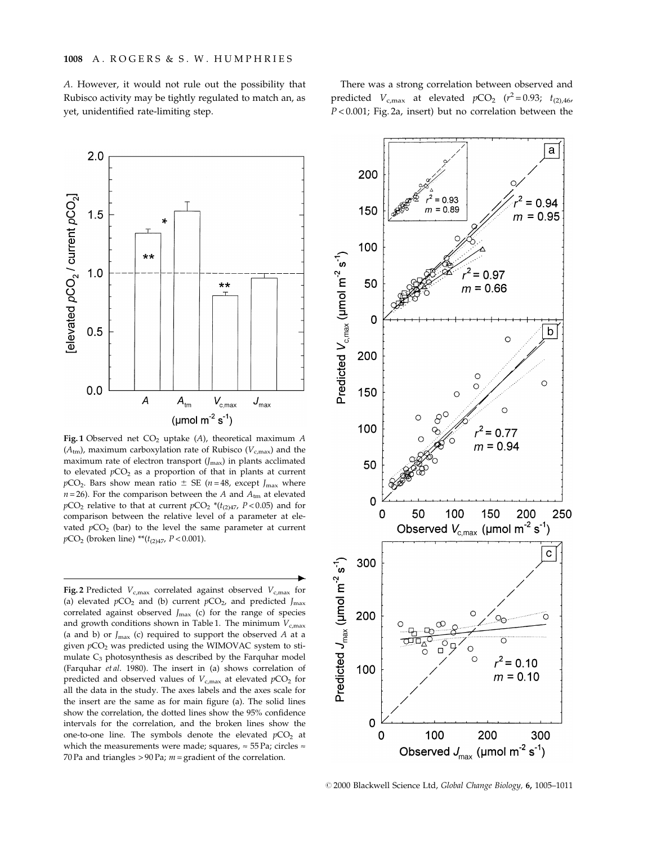A. However, it would not rule out the possibility that Rubisco activity may be tightly regulated to match an, as yet, unidentified rate-limiting step.





Fig. 1 Observed net  $CO<sub>2</sub>$  uptake (A), theoretical maximum A  $(A<sub>tm</sub>)$ , maximum carboxylation rate of Rubisco ( $V<sub>c,max</sub>$ ) and the maximum rate of electron transport  $(J_{\text{max}})$  in plants acclimated to elevated  $pCO<sub>2</sub>$  as a proportion of that in plants at current  $pCO<sub>2</sub>$ . Bars show mean ratio  $\pm$  SE (n = 48, except J<sub>max</sub> where  $n = 26$ ). For the comparison between the A and  $A<sub>tm</sub>$  at elevated  $pCO<sub>2</sub>$  relative to that at current  $pCO<sub>2</sub>$  \*( $t<sub>(2)47</sub>$ ,  $P<0.05$ ) and for comparison between the relative level of a parameter at elevated  $pCO<sub>2</sub>$  (bar) to the level the same parameter at current  $pCO<sub>2</sub>$  (broken line) \*\* $(t<sub>(2)47</sub>, P < 0.001)$ .

 $\blacktriangleright$ 

Fig. 2 Predicted  $V_{c,max}$  correlated against observed  $V_{c,max}$  for (a) elevated  $pCO_2$  and (b) current  $pCO_2$ , and predicted  $J_{\text{max}}$ correlated against observed  $J_{\text{max}}$  (c) for the range of species and growth conditions shown in Table 1. The minimum  $V_{c,max}$ (a and b) or  $J_{\text{max}}$  (c) required to support the observed A at a given  $pCO<sub>2</sub>$  was predicted using the WIMOVAC system to stimulate  $C_3$  photosynthesis as described by the Farquhar model (Farquhar et al. 1980). The insert in (a) shows correlation of predicted and observed values of  $V_{c,\text{max}}$  at elevated  $pCO_2$  for all the data in the study. The axes labels and the axes scale for the insert are the same as for main figure (a). The solid lines show the correlation, the dotted lines show the 95% confidence intervals for the correlation, and the broken lines show the one-to-one line. The symbols denote the elevated  $pCO<sub>2</sub>$  at which the measurements were made; squares,  $\approx$  55 Pa; circles  $\approx$ 70 Pa and triangles  $> 90$  Pa;  $m =$  gradient of the correlation.



@ 2000 Blackwell Science Ltd, Global Change Biology, 6, 1005-1011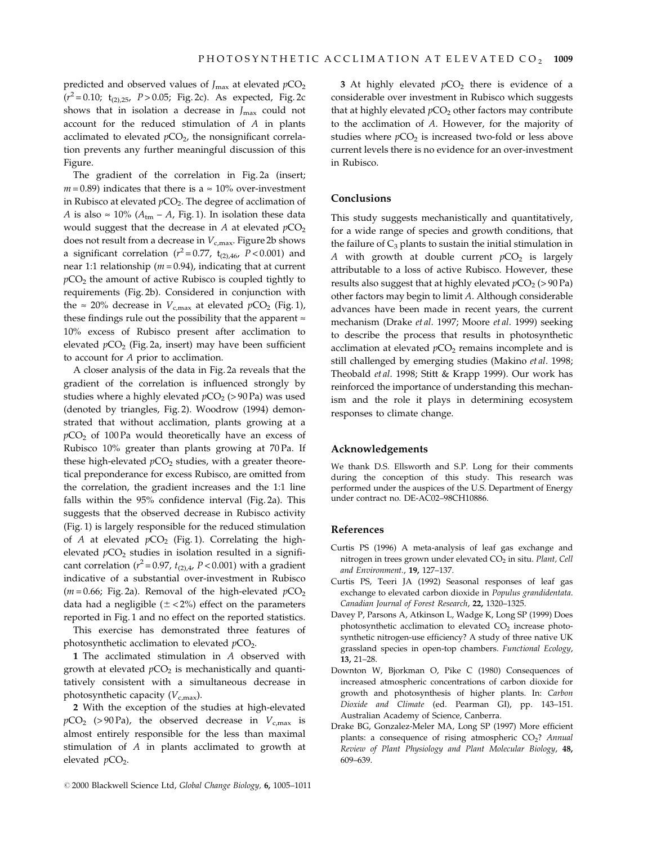predicted and observed values of  $J_{\text{max}}$  at elevated  $pCO_2$  $(r^2 = 0.10; t_{(2),25}, P > 0.05; Fig. 2c)$ . As expected, Fig. 2c shows that in isolation a decrease in  $J_{\text{max}}$  could not account for the reduced stimulation of A in plants acclimated to elevated  $pCO<sub>2</sub>$ , the nonsignificant correlation prevents any further meaningful discussion of this Figure.

The gradient of the correlation in Fig. 2a (insert;  $m = 0.89$ ) indicates that there is a  $\approx 10\%$  over-investment in Rubisco at elevated  $pCO<sub>2</sub>$ . The degree of acclimation of A is also  $\approx 10\%$  ( $A_{tm}$  – A, Fig. 1). In isolation these data would suggest that the decrease in A at elevated  $pCO<sub>2</sub>$ does not result from a decrease in  $V_{c,max}$ . Figure 2b shows a significant correlation ( $r^2 = 0.77$ ,  $t_{(2),46}$ ,  $P < 0.001$ ) and near 1:1 relationship ( $m = 0.94$ ), indicating that at current  $pCO<sub>2</sub>$  the amount of active Rubisco is coupled tightly to requirements (Fig. 2b). Considered in conjunction with the  $\approx$  20% decrease in  $V_{\text{c,max}}$  at elevated  $pCO_2$  (Fig. 1), these findings rule out the possibility that the apparent  $\approx$ 10% excess of Rubisco present after acclimation to elevated  $pCO<sub>2</sub>$  (Fig. 2a, insert) may have been sufficient to account for A prior to acclimation.

A closer analysis of the data in Fig. 2a reveals that the gradient of the correlation is influenced strongly by studies where a highly elevated  $pCO<sub>2</sub>$  (> 90 Pa) was used (denoted by triangles, Fig. 2). Woodrow (1994) demonstrated that without acclimation, plants growing at a  $pCO<sub>2</sub>$  of 100 Pa would theoretically have an excess of Rubisco 10% greater than plants growing at 70 Pa. If these high-elevated  $pCO<sub>2</sub>$  studies, with a greater theoretical preponderance for excess Rubisco, are omitted from the correlation, the gradient increases and the 1:1 line falls within the 95% confidence interval (Fig. 2a). This suggests that the observed decrease in Rubisco activity (Fig. 1) is largely responsible for the reduced stimulation of A at elevated  $pCO<sub>2</sub>$  (Fig. 1). Correlating the highelevated  $pCO<sub>2</sub>$  studies in isolation resulted in a significant correlation ( $r^2$  = 0.97,  $t_{(2),4}$ ,  $P$  < 0.001) with a gradient indicative of a substantial over-investment in Rubisco ( $m = 0.66$ ; Fig. 2a). Removal of the high-elevated  $pCO<sub>2</sub>$ data had a negligible  $(\pm < 2\%)$  effect on the parameters reported in Fig. 1 and no effect on the reported statistics.

This exercise has demonstrated three features of photosynthetic acclimation to elevated  $pCO<sub>2</sub>$ .

1 The acclimated stimulation in  $A$  observed with growth at elevated  $pCO<sub>2</sub>$  is mechanistically and quantitatively consistent with a simultaneous decrease in photosynthetic capacity  $(V_{c,max})$ .

2 With the exception of the studies at high-elevated  $pCO<sub>2</sub>$  (>90 Pa), the observed decrease in  $V<sub>c,max</sub>$  is almost entirely responsible for the less than maximal stimulation of A in plants acclimated to growth at elevated  $pCO<sub>2</sub>$ .

3 At highly elevated  $pCO<sub>2</sub>$  there is evidence of a considerable over investment in Rubisco which suggests that at highly elevated  $pCO<sub>2</sub>$  other factors may contribute to the acclimation of A. However, for the majority of studies where  $pCO<sub>2</sub>$  is increased two-fold or less above current levels there is no evidence for an over-investment in Rubisco.

#### Conclusions

This study suggests mechanistically and quantitatively, for a wide range of species and growth conditions, that the failure of  $C_3$  plants to sustain the initial stimulation in A with growth at double current  $pCO<sub>2</sub>$  is largely attributable to a loss of active Rubisco. However, these results also suggest that at highly elevated  $pCO<sub>2</sub> (> 90 Pa)$ other factors may begin to limit A. Although considerable advances have been made in recent years, the current mechanism (Drake et al. 1997; Moore et al. 1999) seeking to describe the process that results in photosynthetic acclimation at elevated  $pCO<sub>2</sub>$  remains incomplete and is still challenged by emerging studies (Makino et al. 1998; Theobald et al. 1998; Stitt & Krapp 1999). Our work has reinforced the importance of understanding this mechanism and the role it plays in determining ecosystem responses to climate change.

#### Acknowledgements

We thank D.S. Ellsworth and S.P. Long for their comments during the conception of this study. This research was performed under the auspices of the U.S. Department of Energy under contract no. DE-AC02-98CH10886.

# References

- Curtis PS (1996) A meta-analysis of leaf gas exchange and nitrogen in trees grown under elevated  $CO<sub>2</sub>$  in situ. Plant, Cell and Environment., 19, 127-137.
- Curtis PS, Teeri JA (1992) Seasonal responses of leaf gas exchange to elevated carbon dioxide in Populus grandidentata. Canadian Journal of Forest Research, 22, 1320-1325.
- Davey P, Parsons A, Atkinson L, Wadge K, Long SP (1999) Does photosynthetic acclimation to elevated  $CO<sub>2</sub>$  increase photosynthetic nitrogen-use efficiency? A study of three native UK grassland species in open-top chambers. Functional Ecology, 13, 21-28.
- Downton W, Bjorkman O, Pike C (1980) Consequences of increased atmospheric concentrations of carbon dioxide for growth and photosynthesis of higher plants. In: Carbon Dioxide and Climate (ed. Pearman GI), pp. 143-151. Australian Academy of Science, Canberra.
- Drake BG, Gonzalez-Meler MA, Long SP (1997) More efficient plants: a consequence of rising atmospheric  $CO<sub>2</sub>$ ? Annual Review of Plant Physiology and Plant Molecular Biology, 48, 609-639.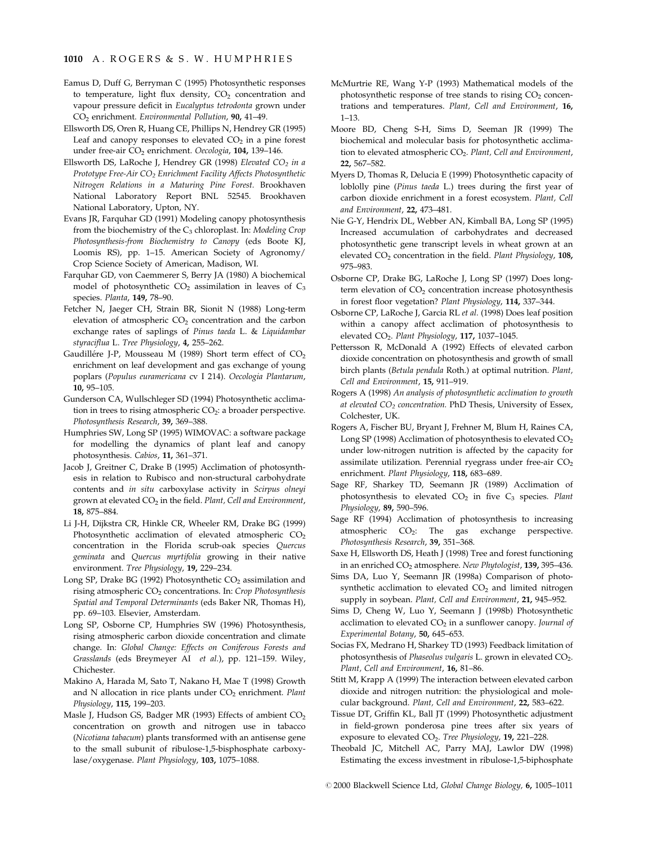### 1010 A. ROGERS & S. W. HUMPHRIES

- Eamus D, Duff G, Berryman C (1995) Photosynthetic responses to temperature, light flux density,  $CO<sub>2</sub>$  concentration and vapour pressure deficit in Eucalyptus tetrodonta grown under CO<sub>2</sub> enrichment. Environmental Pollution, 90, 41-49.
- Ellsworth DS, Oren R, Huang CE, Phillips N, Hendrey GR (1995) Leaf and canopy responses to elevated  $CO<sub>2</sub>$  in a pine forest under free-air CO<sub>2</sub> enrichment. Oecologia, 104, 139-146.
- Ellsworth DS, LaRoche J, Hendrey GR (1998) Elevated CO<sub>2</sub> in a Prototype Free-Air  $CO<sub>2</sub>$  Enrichment Facility Affects Photosynthetic Nitrogen Relations in a Maturing Pine Forest. Brookhaven National Laboratory Report BNL 52545. Brookhaven National Laboratory, Upton, NY.
- Evans JR, Farquhar GD (1991) Modeling canopy photosynthesis from the biochemistry of the  $C_3$  chloroplast. In: Modeling Crop Photosynthesis-from Biochemistry to Canopy (eds Boote KJ, Loomis RS), pp. 1-15. American Society of Agronomy/ Crop Science Society of American, Madison, WI.
- Farquhar GD, von Caemmerer S, Berry JA (1980) A biochemical model of photosynthetic  $CO<sub>2</sub>$  assimilation in leaves of  $C<sub>3</sub>$ species. Planta, 149, 78-90.
- Fetcher N, Jaeger CH, Strain BR, Sionit N (1988) Long-term elevation of atmospheric  $CO<sub>2</sub>$  concentration and the carbon exchange rates of saplings of Pinus taeda L. & Liquidambar styraciflua L. Tree Physiology, 4, 255-262.
- Gaudillére J-P, Mousseau M (1989) Short term effect of  $CO<sub>2</sub>$ enrichment on leaf development and gas exchange of young poplars (Populus euramericana cv I 214). Oecologia Plantarum, 10, 95-105.
- Gunderson CA, Wullschleger SD (1994) Photosynthetic acclimation in trees to rising atmospheric  $CO<sub>2</sub>$ : a broader perspective. Photosynthesis Research, 39, 369-388.
- Humphries SW, Long SP (1995) WIMOVAC: a software package for modelling the dynamics of plant leaf and canopy photosynthesis. Cabios, 11, 361-371.
- Jacob J, Greitner C, Drake B (1995) Acclimation of photosynthesis in relation to Rubisco and non-structural carbohydrate contents and in situ carboxylase activity in Scirpus olneyi grown at elevated  $CO<sub>2</sub>$  in the field. Plant, Cell and Environment, 18, 875-884.
- Li J-H, Dijkstra CR, Hinkle CR, Wheeler RM, Drake BG (1999) Photosynthetic acclimation of elevated atmospheric  $CO<sub>2</sub>$ concentration in the Florida scrub-oak species Quercus geminata and Quercus myrtifolia growing in their native environment. Tree Physiology, 19, 229-234.
- Long SP, Drake BG (1992) Photosynthetic  $CO<sub>2</sub>$  assimilation and rising atmospheric  $CO<sub>2</sub>$  concentrations. In: Crop Photosynthesis Spatial and Temporal Determinants (eds Baker NR, Thomas H), pp. 69-103. Elsevier, Amsterdam.
- Long SP, Osborne CP, Humphries SW (1996) Photosynthesis, rising atmospheric carbon dioxide concentration and climate change. In: Global Change: Effects on Coniferous Forests and Grasslands (eds Breymeyer AI et al.), pp. 121-159. Wiley, Chichester.
- Makino A, Harada M, Sato T, Nakano H, Mae T (1998) Growth and N allocation in rice plants under  $CO<sub>2</sub>$  enrichment. Plant Physiology, 115, 199-203.
- Masle J, Hudson GS, Badger MR (1993) Effects of ambient CO<sub>2</sub> concentration on growth and nitrogen use in tabacco (Nicotiana tabacum) plants transformed with an antisense gene to the small subunit of ribulose-1,5-bisphosphate carboxylase/oxygenase. Plant Physiology, 103, 1075-1088.
- McMurtrie RE, Wang Y-P (1993) Mathematical models of the photosynthetic response of tree stands to rising  $CO<sub>2</sub>$  concentrations and temperatures. Plant, Cell and Environment, 16,  $1 - 13.$
- Moore BD, Cheng S-H, Sims D, Seeman JR (1999) The biochemical and molecular basis for photosynthetic acclimation to elevated atmospheric CO<sub>2</sub>. Plant, Cell and Environment, 22, 567±582.
- Myers D, Thomas R, Delucia E (1999) Photosynthetic capacity of loblolly pine (Pinus taeda L.) trees during the first year of carbon dioxide enrichment in a forest ecosystem. Plant, Cell and Environment, 22, 473-481.
- Nie G-Y, Hendrix DL, Webber AN, Kimball BA, Long SP (1995) Increased accumulation of carbohydrates and decreased photosynthetic gene transcript levels in wheat grown at an elevated  $CO<sub>2</sub>$  concentration in the field. Plant Physiology, 108, 975±983.
- Osborne CP, Drake BG, LaRoche J, Long SP (1997) Does longterm elevation of  $CO<sub>2</sub>$  concentration increase photosynthesis in forest floor vegetation? Plant Physiology, 114, 337-344.
- Osborne CP, LaRoche J, Garcia RL et al. (1998) Does leaf position within a canopy affect acclimation of photosynthesis to elevated CO<sub>2</sub>. Plant Physiology, 117, 1037-1045.
- Pettersson R, McDonald A (1992) Effects of elevated carbon dioxide concentration on photosynthesis and growth of small birch plants (Betula pendula Roth.) at optimal nutrition. Plant, Cell and Environment, 15, 911-919.
- Rogers A (1998) An analysis of photosynthetic acclimation to growth at elevated  $CO<sub>2</sub>$  concentration. PhD Thesis, University of Essex, Colchester, UK.
- Rogers A, Fischer BU, Bryant J, Frehner M, Blum H, Raines CA, Long SP (1998) Acclimation of photosynthesis to elevated  $CO<sub>2</sub>$ under low-nitrogen nutrition is affected by the capacity for assimilate utilization. Perennial ryegrass under free-air  $CO<sub>2</sub>$ enrichment. Plant Physiology, 118, 683-689.
- Sage RF, Sharkey TD, Seemann JR (1989) Acclimation of photosynthesis to elevated  $CO<sub>2</sub>$  in five  $C<sub>3</sub>$  species. Plant Physiology, 89, 590-596.
- Sage RF (1994) Acclimation of photosynthesis to increasing atmospheric  $CO<sub>2</sub>$ : The gas exchange perspective. Photosynthesis Research, 39, 351-368.
- Saxe H, Ellsworth DS, Heath J (1998) Tree and forest functioning in an enriched  $CO<sub>2</sub>$  atmosphere. New Phytologist, 139, 395-436.
- Sims DA, Luo Y, Seemann JR (1998a) Comparison of photosynthetic acclimation to elevated  $CO<sub>2</sub>$  and limited nitrogen supply in soybean. Plant, Cell and Environment, 21, 945-952.
- Sims D, Cheng W, Luo Y, Seemann J (1998b) Photosynthetic acclimation to elevated  $CO<sub>2</sub>$  in a sunflower canopy. Journal of Experimental Botany, 50, 645-653.
- Socias FX, Medrano H, Sharkey TD (1993) Feedback limitation of photosynthesis of Phaseolus vulgaris L. grown in elevated CO<sub>2</sub>. Plant, Cell and Environment, 16, 81-86.
- Stitt M, Krapp A (1999) The interaction between elevated carbon dioxide and nitrogen nutrition: the physiological and molecular background. Plant, Cell and Environment, 22, 583-622.
- Tissue DT, Griffin KL, Ball JT (1999) Photosynthetic adjustment in field-grown ponderosa pine trees after six years of exposure to elevated CO<sub>2</sub>. Tree Physiology, 19, 221-228.
- Theobald JC, Mitchell AC, Parry MAJ, Lawlor DW (1998) Estimating the excess investment in ribulose-1,5-biphosphate